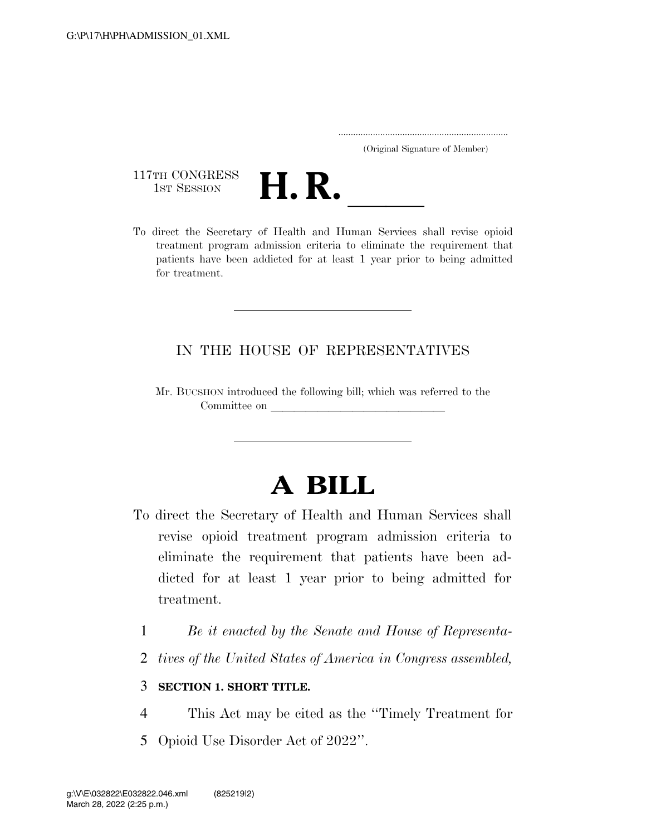..................................................................... (Original Signature of Member)

117TH CONGRESS<br>1st Session



117TH CONGRESS<br>1st SESSION<br>To direct the Secretary of Health and Human Services shall revise opioid treatment program admission criteria to eliminate the requirement that patients have been addicted for at least 1 year prior to being admitted for treatment.

## IN THE HOUSE OF REPRESENTATIVES

Mr. BUCSHON introduced the following bill; which was referred to the Committee on

## **A BILL**

- To direct the Secretary of Health and Human Services shall revise opioid treatment program admission criteria to eliminate the requirement that patients have been addicted for at least 1 year prior to being admitted for treatment.
	- 1 *Be it enacted by the Senate and House of Representa-*
	- 2 *tives of the United States of America in Congress assembled,*

## 3 **SECTION 1. SHORT TITLE.**

- 4 This Act may be cited as the ''Timely Treatment for
- 5 Opioid Use Disorder Act of 2022''.